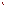